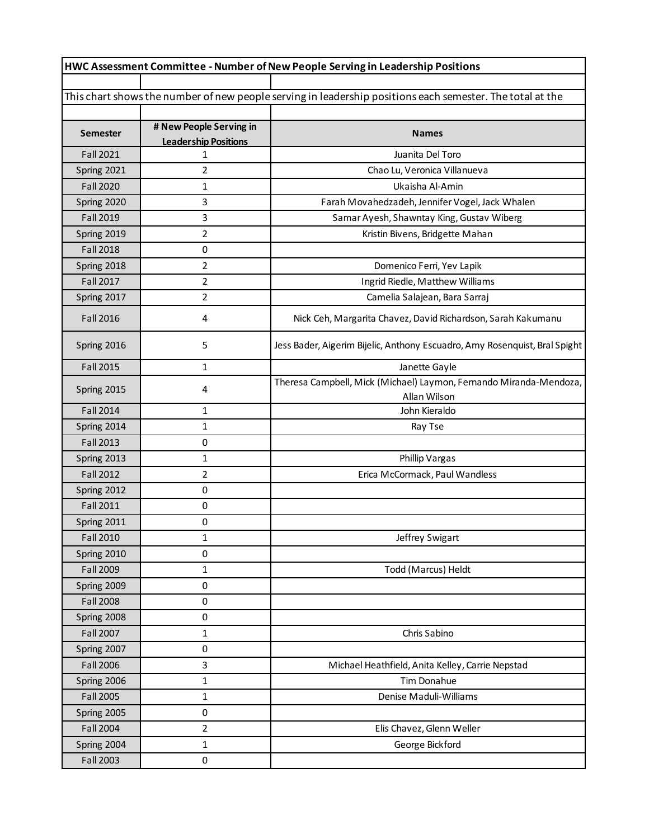| HWC Assessment Committee - Number of New People Serving in Leadership Positions |                                                        |                                                                                                           |  |  |
|---------------------------------------------------------------------------------|--------------------------------------------------------|-----------------------------------------------------------------------------------------------------------|--|--|
|                                                                                 |                                                        |                                                                                                           |  |  |
|                                                                                 |                                                        | This chart shows the number of new people serving in leadership positions each semester. The total at the |  |  |
|                                                                                 |                                                        |                                                                                                           |  |  |
| <b>Semester</b>                                                                 | # New People Serving in<br><b>Leadership Positions</b> | <b>Names</b>                                                                                              |  |  |
| <b>Fall 2021</b>                                                                | 1                                                      | Juanita Del Toro                                                                                          |  |  |
| Spring 2021                                                                     | $\overline{2}$                                         | Chao Lu, Veronica Villanueva                                                                              |  |  |
| <b>Fall 2020</b>                                                                | 1                                                      | Ukaisha Al-Amin                                                                                           |  |  |
| Spring 2020                                                                     | 3                                                      | Farah Movahedzadeh, Jennifer Vogel, Jack Whalen                                                           |  |  |
| <b>Fall 2019</b>                                                                | 3                                                      | Samar Ayesh, Shawntay King, Gustav Wiberg                                                                 |  |  |
| Spring 2019                                                                     | $\overline{2}$                                         | Kristin Bivens, Bridgette Mahan                                                                           |  |  |
| <b>Fall 2018</b>                                                                | 0                                                      |                                                                                                           |  |  |
| Spring 2018                                                                     | 2                                                      | Domenico Ferri, Yev Lapik                                                                                 |  |  |
| <b>Fall 2017</b>                                                                | $\overline{2}$                                         | Ingrid Riedle, Matthew Williams                                                                           |  |  |
| Spring 2017                                                                     | $\overline{2}$                                         | Camelia Salajean, Bara Sarraj                                                                             |  |  |
| <b>Fall 2016</b>                                                                | 4                                                      | Nick Ceh, Margarita Chavez, David Richardson, Sarah Kakumanu                                              |  |  |
| Spring 2016                                                                     | 5                                                      | Jess Bader, Aigerim Bijelic, Anthony Escuadro, Amy Rosenquist, Bral Spight                                |  |  |
| <b>Fall 2015</b>                                                                | 1                                                      | Janette Gayle                                                                                             |  |  |
| Spring 2015                                                                     | 4                                                      | Theresa Campbell, Mick (Michael) Laymon, Fernando Miranda-Mendoza,<br>Allan Wilson                        |  |  |
| <b>Fall 2014</b>                                                                | 1                                                      | John Kieraldo                                                                                             |  |  |
| Spring 2014                                                                     | 1                                                      | Ray Tse                                                                                                   |  |  |
| <b>Fall 2013</b>                                                                | 0                                                      |                                                                                                           |  |  |
| Spring 2013                                                                     | 1                                                      | Phillip Vargas                                                                                            |  |  |
| <b>Fall 2012</b>                                                                | $\overline{2}$                                         | Erica McCormack, Paul Wandless                                                                            |  |  |
| Spring 2012                                                                     | 0                                                      |                                                                                                           |  |  |
| <b>Fall 2011</b>                                                                | 0                                                      |                                                                                                           |  |  |
| Spring 2011                                                                     | 0                                                      |                                                                                                           |  |  |
| <b>Fall 2010</b>                                                                | 1                                                      | Jeffrey Swigart                                                                                           |  |  |
| Spring 2010                                                                     | 0                                                      |                                                                                                           |  |  |
| <b>Fall 2009</b>                                                                | 1                                                      | Todd (Marcus) Heldt                                                                                       |  |  |
| Spring 2009                                                                     | 0                                                      |                                                                                                           |  |  |
| <b>Fall 2008</b>                                                                | $\pmb{0}$                                              |                                                                                                           |  |  |
| Spring 2008                                                                     | 0                                                      |                                                                                                           |  |  |
| <b>Fall 2007</b>                                                                | 1                                                      | Chris Sabino                                                                                              |  |  |
| Spring 2007                                                                     | 0                                                      |                                                                                                           |  |  |
| <b>Fall 2006</b>                                                                | 3                                                      | Michael Heathfield, Anita Kelley, Carrie Nepstad                                                          |  |  |
| Spring 2006                                                                     | 1                                                      | Tim Donahue                                                                                               |  |  |
| <b>Fall 2005</b>                                                                | 1                                                      | Denise Maduli-Williams                                                                                    |  |  |
| Spring 2005                                                                     | 0                                                      |                                                                                                           |  |  |
| <b>Fall 2004</b>                                                                | $\overline{2}$                                         | Elis Chavez, Glenn Weller                                                                                 |  |  |
| Spring 2004                                                                     | 1                                                      | George Bickford                                                                                           |  |  |
| <b>Fall 2003</b>                                                                | 0                                                      |                                                                                                           |  |  |